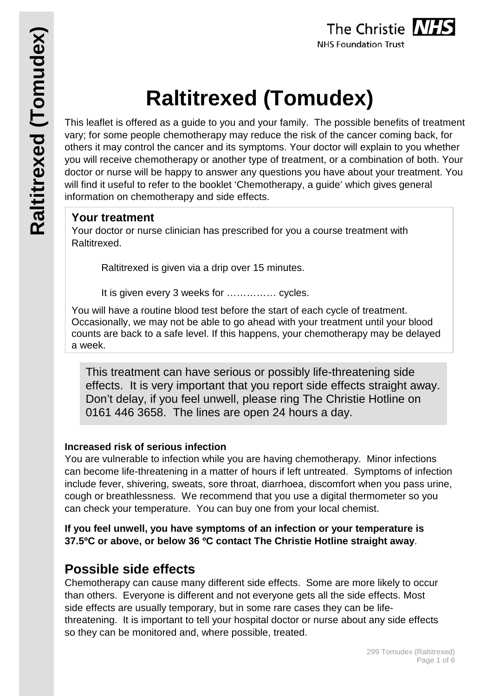

# **Raltitrexed (Tomudex)**

This leaflet is offered as a guide to you and your family. The possible benefits of treatment vary; for some people chemotherapy may reduce the risk of the cancer coming back, for others it may control the cancer and its symptoms. Your doctor will explain to you whether you will receive chemotherapy or another type of treatment, or a combination of both. Your doctor or nurse will be happy to answer any questions you have about your treatment. You will find it useful to refer to the booklet 'Chemotherapy, a guide' which gives general information on chemotherapy and side effects.

# **Your treatment**

Your doctor or nurse clinician has prescribed for you a course treatment with Raltitrexed.

Raltitrexed is given via a drip over 15 minutes.

It is given every 3 weeks for …………… cycles.

You will have a routine blood test before the start of each cycle of treatment. Occasionally, we may not be able to go ahead with your treatment until your blood counts are back to a safe level. If this happens, your chemotherapy may be delayed a week.

This treatment can have serious or possibly life-threatening side effects. It is very important that you report side effects straight away. Don't delay, if you feel unwell, please ring The Christie Hotline on 0161 446 3658. The lines are open 24 hours a day.

#### **Increased risk of serious infection**

You are vulnerable to infection while you are having chemotherapy. Minor infections can become life-threatening in a matter of hours if left untreated. Symptoms of infection include fever, shivering, sweats, sore throat, diarrhoea, discomfort when you pass urine, cough or breathlessness. We recommend that you use a digital thermometer so you can check your temperature. You can buy one from your local chemist.

**If you feel unwell, you have symptoms of an infection or your temperature is 37.5ºC or above, or below 36 ºC contact The Christie Hotline straight away**.

# **Possible side effects**

Chemotherapy can cause many different side effects. Some are more likely to occur than others. Everyone is different and not everyone gets all the side effects. Most side effects are usually temporary, but in some rare cases they can be lifethreatening. It is important to tell your hospital doctor or nurse about any side effects so they can be monitored and, where possible, treated.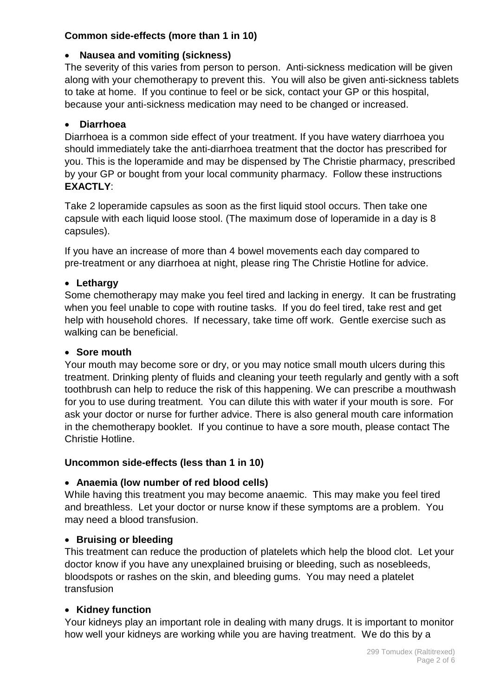# **Common side-effects (more than 1 in 10)**

#### • **Nausea and vomiting (sickness)**

The severity of this varies from person to person. Anti-sickness medication will be given along with your chemotherapy to prevent this. You will also be given anti-sickness tablets to take at home. If you continue to feel or be sick, contact your GP or this hospital, because your anti-sickness medication may need to be changed or increased.

# • **Diarrhoea**

Diarrhoea is a common side effect of your treatment. If you have watery diarrhoea you should immediately take the anti-diarrhoea treatment that the doctor has prescribed for you. This is the loperamide and may be dispensed by The Christie pharmacy, prescribed by your GP or bought from your local community pharmacy. Follow these instructions **EXACTLY**:

Take 2 loperamide capsules as soon as the first liquid stool occurs. Then take one capsule with each liquid loose stool. (The maximum dose of loperamide in a day is 8 capsules).

If you have an increase of more than 4 bowel movements each day compared to pre-treatment or any diarrhoea at night, please ring The Christie Hotline for advice.

# • **Lethargy**

Some chemotherapy may make you feel tired and lacking in energy. It can be frustrating when you feel unable to cope with routine tasks. If you do feel tired, take rest and get help with household chores. If necessary, take time off work. Gentle exercise such as walking can be beneficial.

#### • **Sore mouth**

Your mouth may become sore or dry, or you may notice small mouth ulcers during this treatment. Drinking plenty of fluids and cleaning your teeth regularly and gently with a soft toothbrush can help to reduce the risk of this happening. We can prescribe a mouthwash for you to use during treatment. You can dilute this with water if your mouth is sore. For ask your doctor or nurse for further advice. There is also general mouth care information in the chemotherapy booklet. If you continue to have a sore mouth, please contact The Christie Hotline.

#### **Uncommon side-effects (less than 1 in 10)**

#### • **Anaemia (low number of red blood cells)**

While having this treatment you may become anaemic. This may make you feel tired and breathless. Let your doctor or nurse know if these symptoms are a problem. You may need a blood transfusion.

#### • **Bruising or bleeding**

This treatment can reduce the production of platelets which help the blood clot. Let your doctor know if you have any unexplained bruising or bleeding, such as nosebleeds, bloodspots or rashes on the skin, and bleeding gums. You may need a platelet transfusion

#### • **Kidney function**

Your kidneys play an important role in dealing with many drugs. It is important to monitor how well your kidneys are working while you are having treatment. We do this by a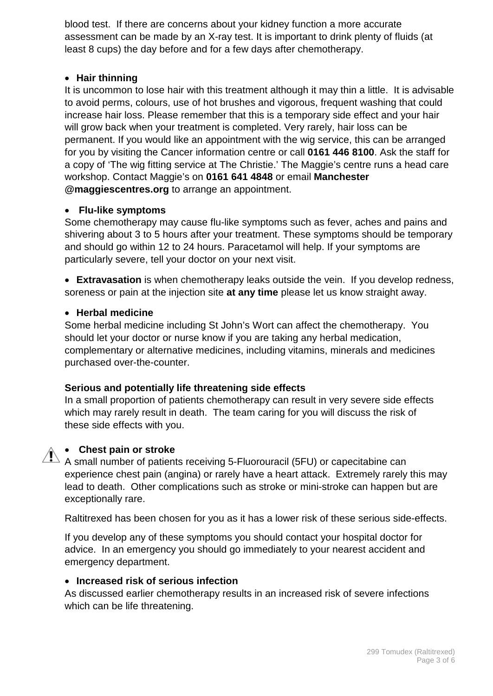blood test. If there are concerns about your kidney function a more accurate assessment can be made by an X-ray test. It is important to drink plenty of fluids (at least 8 cups) the day before and for a few days after chemotherapy.

#### • **Hair thinning**

It is uncommon to lose hair with this treatment although it may thin a little. It is advisable to avoid perms, colours, use of hot brushes and vigorous, frequent washing that could increase hair loss. Please remember that this is a temporary side effect and your hair will grow back when your treatment is completed. Very rarely, hair loss can be permanent. If you would like an appointment with the wig service, this can be arranged for you by visiting the Cancer information centre or call **0161 446 8100**. Ask the staff for a copy of 'The wig fitting service at The Christie.' The Maggie's centre runs a head care workshop. Contact Maggie's on **0161 641 4848** or email **Manchester @maggiescentres.org** to arrange an appointment.

#### • **Flu-like symptoms**

Some chemotherapy may cause flu-like symptoms such as fever, aches and pains and shivering about 3 to 5 hours after your treatment. These symptoms should be temporary and should go within 12 to 24 hours. Paracetamol will help. If your symptoms are particularly severe, tell your doctor on your next visit.

• **Extravasation** is when chemotherapy leaks outside the vein. If you develop redness, soreness or pain at the injection site **at any time** please let us know straight away.

#### • **Herbal medicine**

Some herbal medicine including St John's Wort can affect the chemotherapy. You should let your doctor or nurse know if you are taking any herbal medication, complementary or alternative medicines, including vitamins, minerals and medicines purchased over-the-counter.

#### **Serious and potentially life threatening side effects**

In a small proportion of patients chemotherapy can result in very severe side effects which may rarely result in death. The team caring for you will discuss the risk of these side effects with you.

#### • **Chest pain or stroke**

 $\overbrace{A}$  small number of patients receiving 5-Fluorouracil (5FU) or capecitabine can<br>A small number of patients receiving 5-Fluorouracil (5FU) or capecitabine can experience chest pain (angina) or rarely have a heart attack. Extremely rarely this may lead to death. Other complications such as stroke or mini-stroke can happen but are exceptionally rare.

Raltitrexed has been chosen for you as it has a lower risk of these serious side-effects.

If you develop any of these symptoms you should contact your hospital doctor for advice. In an emergency you should go immediately to your nearest accident and emergency department.

#### • **Increased risk of serious infection**

As discussed earlier chemotherapy results in an increased risk of severe infections which can be life threatening.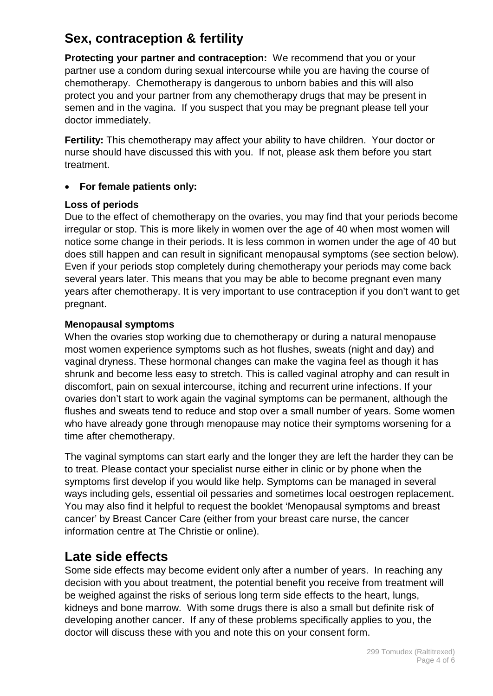# **Sex, contraception & fertility**

**Protecting your partner and contraception:** We recommend that you or your partner use a condom during sexual intercourse while you are having the course of chemotherapy. Chemotherapy is dangerous to unborn babies and this will also protect you and your partner from any chemotherapy drugs that may be present in semen and in the vagina. If you suspect that you may be pregnant please tell your doctor immediately.

**Fertility:** This chemotherapy may affect your ability to have children. Your doctor or nurse should have discussed this with you. If not, please ask them before you start treatment.

# • **For female patients only:**

# **Loss of periods**

Due to the effect of chemotherapy on the ovaries, you may find that your periods become irregular or stop. This is more likely in women over the age of 40 when most women will notice some change in their periods. It is less common in women under the age of 40 but does still happen and can result in significant menopausal symptoms (see section below). Even if your periods stop completely during chemotherapy your periods may come back several years later. This means that you may be able to become pregnant even many years after chemotherapy. It is very important to use contraception if you don't want to get pregnant.

# **Menopausal symptoms**

When the ovaries stop working due to chemotherapy or during a natural menopause most women experience symptoms such as hot flushes, sweats (night and day) and vaginal dryness. These hormonal changes can make the vagina feel as though it has shrunk and become less easy to stretch. This is called vaginal atrophy and can result in discomfort, pain on sexual intercourse, itching and recurrent urine infections. If your ovaries don't start to work again the vaginal symptoms can be permanent, although the flushes and sweats tend to reduce and stop over a small number of years. Some women who have already gone through menopause may notice their symptoms worsening for a time after chemotherapy.

The vaginal symptoms can start early and the longer they are left the harder they can be to treat. Please contact your specialist nurse either in clinic or by phone when the symptoms first develop if you would like help. Symptoms can be managed in several ways including gels, essential oil pessaries and sometimes local oestrogen replacement. You may also find it helpful to request the booklet 'Menopausal symptoms and breast cancer' by Breast Cancer Care (either from your breast care nurse, the cancer information centre at The Christie or online).

# **Late side effects**

Some side effects may become evident only after a number of years. In reaching any decision with you about treatment, the potential benefit you receive from treatment will be weighed against the risks of serious long term side effects to the heart, lungs, kidneys and bone marrow. With some drugs there is also a small but definite risk of developing another cancer. If any of these problems specifically applies to you, the doctor will discuss these with you and note this on your consent form.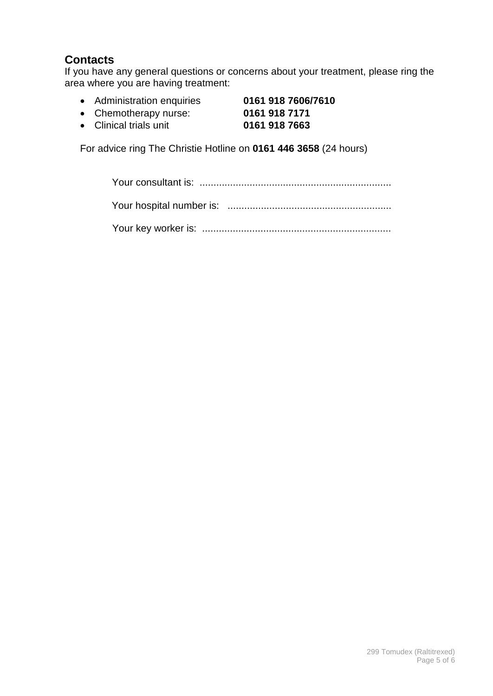# **Contacts**

If you have any general questions or concerns about your treatment, please ring the area where you are having treatment:

- Administration enquiries **0161 918 7606/7610**
- Chemotherapy nurse: **0161 918 7171 •** Clinical trials unit

For advice ring The Christie Hotline on **0161 446 3658** (24 hours)